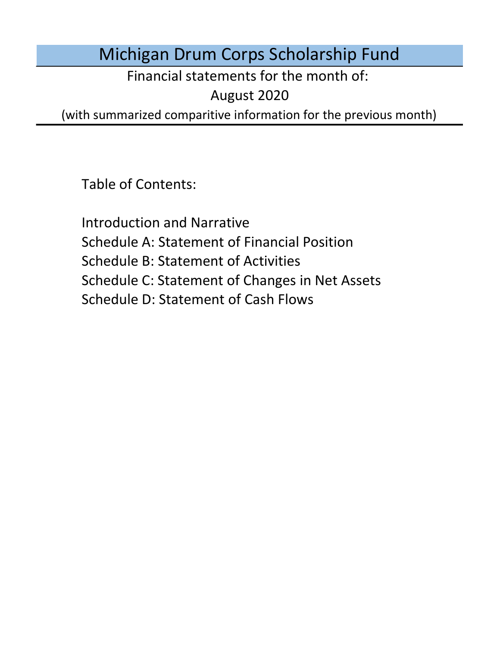# Michigan Drum Corps Scholarship Fund

Financial statements for the month of:

August 2020

(with summarized comparitive information for the previous month)

Table of Contents:

Schedule D: Statement of Cash Flows Introduction and Narrative Schedule A: Statement of Financial Position Schedule B: Statement of Activities Schedule C: Statement of Changes in Net Assets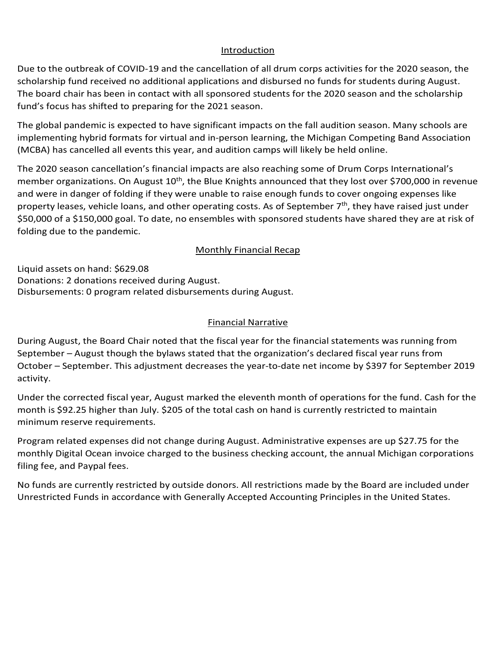### Introduction Introduction Introduction

Introduction<br>Due to the outbreak of COVID-19 and the cancellation of all drum corps activities for the 2020 season, the<br>scholarship fund received no additional applications and disbursed no funds for students during August scholarship fund received no additional applications and disbursed no funds for students during August. The board chair has been in contact with all sponsored students for the 2020 season and the scholarship<br>fund's focus has shifted to preparing for the 2021 season. fund's focus has shifted to preparing for the 2021 season. scholarship fund received no additional applications and disbursed no funds for students during August.<br>The board chair has been in contact with all sponsored students for the 2020 season and the scholarship<br>fund's focus h

The global pandemic is expected to have significant impacts on the fall audition season. Many schools are Implementing hypric formats for virtual and in Implementing hybrid formats for virtual and in-person learning, the witchgan competing band Association<br>(MCBA) has cancelled all events this year, and audition camps will likely be held online. organizations with sponsored students with sponsored students. The alabel condensis is awoothed to boys similizent imments on the follow dition concern. Mony sebests are implementing hybrid formats for virtual and in-person learning, the Michigan Competing Band Association<br>(MCBA) has sensalized all succepts this uses and sudition accumumilikate had believalised

The 2020 season cancellation's financial impacts are also reaching some of Drum Corps International's and were in danger of folding if they were unable to raise enough funds to cover ongoing expenses like \$50,000 of a \$150,000 goal. To date, no ensembles with sponsored students have shared they are at risk of<br>folding due to the pandemic. folding due to the pandemic. and were in danger of folding if they were unable to raise enough funds to cover ongoing expenses like<br>property leases, vehicle loans, and other operating costs. As of September 7<sup>th</sup>, they have raised just under<br>\$50.000 o me 2020 season cancellation's illiancial impacts are also reaching some or Drum corps international's<br>member organizations. On August 10<sup>th</sup>, the Blue Knights announced that they lost over \$700,000 in revenue<br>and were in d property leases, vehicle loans, and other operating costs. As of September 7<sup>th</sup>, they have raised just under<br>\$50,000 of a \$150,000 goal. To date, no ensembles with sponsored students have shared they are at risk of fund received no additional applications and disbursed no funds for students during August.<br>
har has been in contact with all sponsored students for the 2020 season and the scholarship<br>
has shifted to preparing for the 20

#### **Monthly Financial Recap**  $\mathbf{A}$ votes and scores based on historical data. may include housing exclusively in hotels or college dormitories, a regional touring model, and isolating include exclusively hotels or college dormitories, a regional touring and isolating

Program related expenses did not change during January. Administrative expenses are up \$6.00 for the Liquid assets on hand: \$629.08<br>-Donations: 2 donations received during August.<br>Piddle of the contract of the contract of the contract of the contract of the contract of the contract of the c Disbursements: 0 program related disbursements during August.  $\frac{1}{2}$  $\frac{1}{2}$ 

#### No funds are currently restricted by outside donors. All restrictions made by the Board are included under United Funds in accordance with General Library Accepted Accepted Accepted Accepted Accepted Accepted States. The United States in the United States in the United States. The United States in the United States. The United  $E_{\text{in}}$  accordance with Generally Accepted Accounting  $P$ ed. 2030.00 or lower for refunds refunds relatived. The program relatived of the contraction of the contraction of the contraction of the contraction of the contraction of the contraction of the contraction of the contract  $\Sigma$  may marked the ninth month of operations for the fund under its declared fiscal year.  $\Gamma$ is \$6.00 lower than April. \$205 of the total cash on hand is currently restricted to maintain minimum \$6.00 lower than April. \$205 of the total cash on hand is currently restricted to maintain minimum reserve Einancial Narrativo

During August, the Board Chair noted that the fiscal year for the financial statements was running from During August, the Board Chair Hoted that the Histaryear for the imancial statements was ruming from Peptenner – August mough the bylaws stated that the organization s ueclared histaryear runs from October – September. This adjustment decreases the year-to-date net income by \$397 for September 2019<br>sethilise  $\text{activity.}$ activity. The contraction of  $\mathcal{C}$  $\overline{\phantom{a}}$  activity.  $\overline{\phantom{a}}$ 

Under the corrected fiscal year, August marked the eleventh month of operations for the fund. Cash for the<br>month is \$92.25 higher than July. \$205 of the total cash on hand is currently restricted to maintain month is \$92.25 higher than July. \$205 of the total cash on hand is currently restricted to maintain  $N$  funds are currently restricted by outside donors. All restrictions made by the Board are included under under under the Board are included under the Board are included under the Board are included under the Board are i It decreases the year-to-date net income by \$397 for September 2019<br>st marked the eleventh month of operations for the fund. Cash for the<br>5 of the total cash on hand is currently restricted to maintain<br>inge during August. minimum reserve requirements.

Program related expenses did not change during August. Administrative expenses are up \$27.75 for the nogram related expenses ald not change during August. Administrative expenses are up \$2,33 for the another remai<br>monthly Digital Ocean invoice charged to the business checking account, the annual Michigan corporations filing fee, and Paypal fees. The United States in the United States in the United States in the United States. lower for region ocean invoice charged to the business checking account, the annual ivilcingan co<br>filipe for read Deveal forc s rugram related expenses are not change during August. Administrative expenses are up years for the composition of the state balance of the state balance of the state balance of the state balance of the state balance of t monthly Digital Ocean invoice charged to the business checking account, the annual Michigan corporations<br>filing factoral Daunal face

No funds are currently restricted by outside donors. All restrictions made by the Board are included under No funds are currently restricted by outside donors. All restrictions made by the board are included under<br>Unrestricted Funds in accordance with Generally Accepted Accounting Principles in the United States.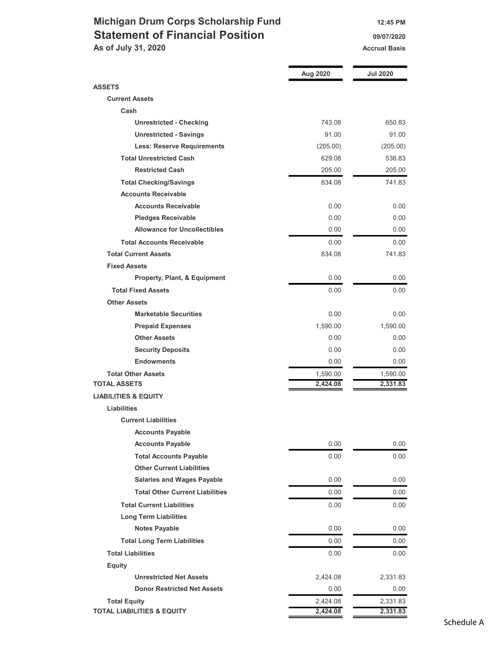## Michigan Drum Corps Scholarship Fund 12:45 PM Statement of Financial Position **Canadian Control** 09/07/2020 As of July 31, 2020 Accrual Basis Accrual Basis

|                                                    | Aug 2020             | <b>Jul 2020</b>      |
|----------------------------------------------------|----------------------|----------------------|
| <b>ASSETS</b>                                      |                      |                      |
| <b>Current Assets</b>                              |                      |                      |
| Cash                                               |                      |                      |
| <b>Unrestricted - Checking</b>                     | 743.08               | 650.83               |
| <b>Unrestricted - Savings</b>                      | 91.00                | 91.00                |
| <b>Less: Reserve Requirements</b>                  | (205.00)             | (205.00)             |
| <b>Total Unrestricted Cash</b>                     | 629.08               | 536.83               |
| <b>Restricted Cash</b>                             | 205.00               | 205.00               |
| <b>Total Checking/Savings</b>                      | 834.08               | 741.83               |
| <b>Accounts Receivable</b>                         |                      |                      |
| <b>Accounts Receivable</b>                         | 0.00                 | 0.00                 |
| <b>Pledges Receivable</b>                          | 0.00                 | 0.00                 |
| <b>Allowance for Uncollectibles</b>                | 0.00                 | 0.00                 |
| <b>Total Accounts Receivable</b>                   | 0.00                 | 0.00                 |
| <b>Total Current Assets</b>                        | 834.08               | 741.83               |
| <b>Fixed Assets</b>                                |                      |                      |
| Property, Plant, & Equipment                       | 0.00                 | 0.00                 |
| <b>Total Fixed Assets</b>                          | 0.00                 | 0.00                 |
| <b>Other Assets</b>                                |                      |                      |
| <b>Marketable Securities</b>                       | 0.00                 | 0.00                 |
|                                                    | 1,590.00             |                      |
| <b>Prepaid Expenses</b><br><b>Other Assets</b>     | 0.00                 | 1,590.00<br>0.00     |
|                                                    |                      |                      |
| <b>Security Deposits</b><br><b>Endowments</b>      | 0.00                 | 0.00                 |
|                                                    | 0.00                 | 0.00                 |
| <b>Total Other Assets</b><br><b>TOTAL ASSETS</b>   | 1,590.00<br>2,424.08 | 1,590.00<br>2,331.83 |
| <b>LIABILITIES &amp; EQUITY</b>                    |                      |                      |
| <b>Liabilities</b>                                 |                      |                      |
| <b>Current Liabilities</b>                         |                      |                      |
|                                                    |                      |                      |
| <b>Accounts Payable</b><br><b>Accounts Payable</b> | 0.00                 | 0.00                 |
|                                                    |                      |                      |
| <b>Total Accounts Payable</b>                      | 0.00                 | 0.00                 |
| <b>Other Current Liabilities</b>                   |                      |                      |
| <b>Salaries and Wages Payable</b>                  | 0.00                 | 0.00                 |
| <b>Total Other Current Liabilities</b>             | 0.00                 | 0.00                 |
| <b>Total Current Liabilities</b>                   | 0.00                 | 0.00                 |
| <b>Long Term Liabilities</b>                       |                      |                      |
| <b>Notes Payable</b>                               | 0.00                 | 0.00                 |
| <b>Total Long Term Liabilities</b>                 | 0.00                 | 0.00                 |
| <b>Total Liabilities</b>                           | 0.00                 | 0.00                 |
| <b>Equity</b>                                      |                      |                      |
| <b>Unrestricted Net Assets</b>                     | 2,424.08             | 2,331.83             |
| <b>Donor Restricted Net Assets</b>                 | 0.00                 | 0.00                 |
| <b>Total Equity</b>                                | 2,424.08             | 2,331.83             |
| <b>TOTAL LIABILITIES &amp; EQUITY</b>              | 2,424.08             | 2,331.83             |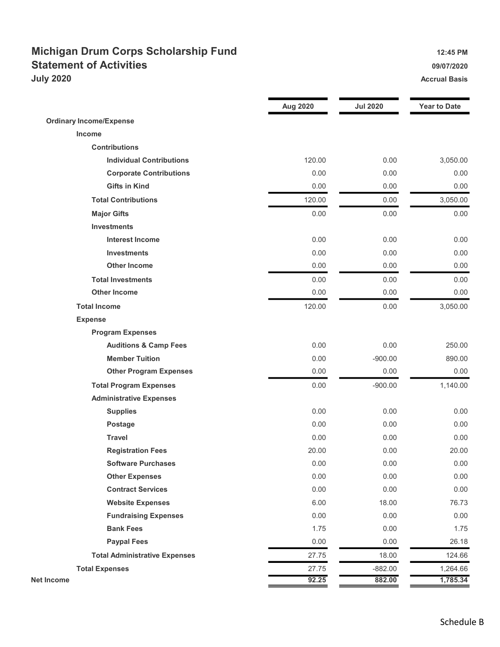## Michigan Drum Corps Scholarship Fund 12:45 PM Statement of Activities **Statement of Activities 1990 July 2020** Accrual Basis

|                                      | Aug 2020 | <b>Jul 2020</b> | <b>Year to Date</b> |
|--------------------------------------|----------|-----------------|---------------------|
| <b>Ordinary Income/Expense</b>       |          |                 |                     |
| Income                               |          |                 |                     |
| <b>Contributions</b>                 |          |                 |                     |
| <b>Individual Contributions</b>      | 120.00   | 0.00            | 3,050.00            |
| <b>Corporate Contributions</b>       | 0.00     | 0.00            | 0.00                |
| <b>Gifts in Kind</b>                 | 0.00     | 0.00            | 0.00                |
| <b>Total Contributions</b>           | 120.00   | 0.00            | 3,050.00            |
| <b>Major Gifts</b>                   | 0.00     | 0.00            | 0.00                |
| <b>Investments</b>                   |          |                 |                     |
| <b>Interest Income</b>               | 0.00     | 0.00            | 0.00                |
| <b>Investments</b>                   | 0.00     | 0.00            | 0.00                |
| <b>Other Income</b>                  | 0.00     | 0.00            | 0.00                |
| <b>Total Investments</b>             | 0.00     | 0.00            | 0.00                |
| <b>Other Income</b>                  | 0.00     | 0.00            | 0.00                |
| <b>Total Income</b>                  | 120.00   | 0.00            | 3,050.00            |
| <b>Expense</b>                       |          |                 |                     |
| <b>Program Expenses</b>              |          |                 |                     |
| <b>Auditions &amp; Camp Fees</b>     | 0.00     | 0.00            | 250.00              |
| <b>Member Tuition</b>                | 0.00     | $-900.00$       | 890.00              |
| <b>Other Program Expenses</b>        | 0.00     | 0.00            | 0.00                |
| <b>Total Program Expenses</b>        | 0.00     | $-900.00$       | 1,140.00            |
| <b>Administrative Expenses</b>       |          |                 |                     |
| <b>Supplies</b>                      | 0.00     | 0.00            | 0.00                |
| Postage                              | 0.00     | 0.00            | 0.00                |
| <b>Travel</b>                        | 0.00     | 0.00            | 0.00                |
| <b>Registration Fees</b>             | 20.00    | 0.00            | 20.00               |
| <b>Software Purchases</b>            | 0.00     | 0.00            | 0.00                |
| <b>Other Expenses</b>                | 0.00     | 0.00            | 0.00                |
| <b>Contract Services</b>             | 0.00     | 0.00            | 0.00                |
| <b>Website Expenses</b>              | 6.00     | 18.00           | 76.73               |
| <b>Fundraising Expenses</b>          | 0.00     | 0.00            | 0.00                |
| <b>Bank Fees</b>                     | 1.75     | 0.00            | 1.75                |
| <b>Paypal Fees</b>                   | 0.00     | 0.00            | 26.18               |
| <b>Total Administrative Expenses</b> | 27.75    | 18.00           | 124.66              |
| <b>Total Expenses</b>                | 27.75    | $-882.00$       | 1,264.66            |
| Net Income                           | 92.25    | 882.00          | 1,785.34            |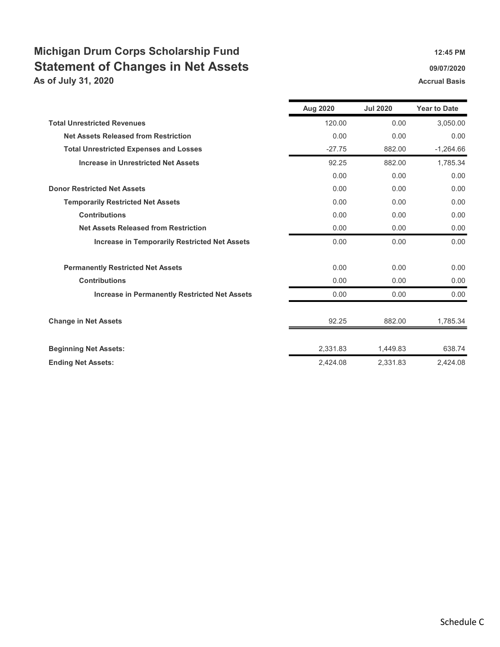# Michigan Drum Corps Scholarship Fund 12:45 PM Statement of Changes in Net Assets **Statement of Changes in Net Assets**

As of July 31, 2020 **Accrual Basis** Accrual Basis

|                                                      | Aug 2020 | <b>Jul 2020</b> | <b>Year to Date</b> |
|------------------------------------------------------|----------|-----------------|---------------------|
| <b>Total Unrestricted Revenues</b>                   | 120.00   | 0.00            | 3,050.00            |
| <b>Net Assets Released from Restriction</b>          | 0.00     | 0.00            | 0.00                |
| <b>Total Unrestricted Expenses and Losses</b>        | $-27.75$ | 882.00          | $-1.264.66$         |
| <b>Increase in Unrestricted Net Assets</b>           | 92.25    | 882.00          | 1,785.34            |
|                                                      | 0.00     | 0.00            | 0.00                |
| <b>Donor Restricted Net Assets</b>                   | 0.00     | 0.00            | 0.00                |
| <b>Temporarily Restricted Net Assets</b>             | 0.00     | 0.00            | 0.00                |
| <b>Contributions</b>                                 | 0.00     | 0.00            | 0.00                |
| <b>Net Assets Released from Restriction</b>          | 0.00     | 0.00            | 0.00                |
| <b>Increase in Temporarily Restricted Net Assets</b> | 0.00     | 0.00            | 0.00                |
| <b>Permanently Restricted Net Assets</b>             | 0.00     | 0.00            | 0.00                |
| <b>Contributions</b>                                 | 0.00     | 0.00            | 0.00                |
| <b>Increase in Permanently Restricted Net Assets</b> | 0.00     | 0.00            | 0.00                |
| <b>Change in Net Assets</b>                          | 92.25    | 882.00          | 1,785.34            |
| <b>Beginning Net Assets:</b>                         | 2,331.83 | 1,449.83        | 638.74              |
| <b>Ending Net Assets:</b>                            | 2,424.08 | 2,331.83        | 2.424.08            |